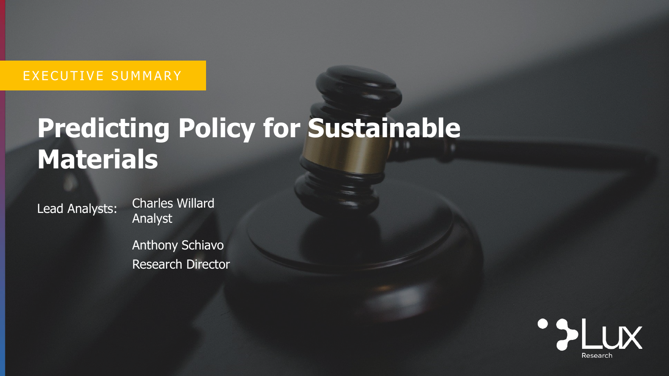# EXECUTIVE SUMMARY

# **Predicting Policy for Sustainable Materials**

Lead Analysts:

Charles Willard Analyst

Anthony Schiavo Research Director

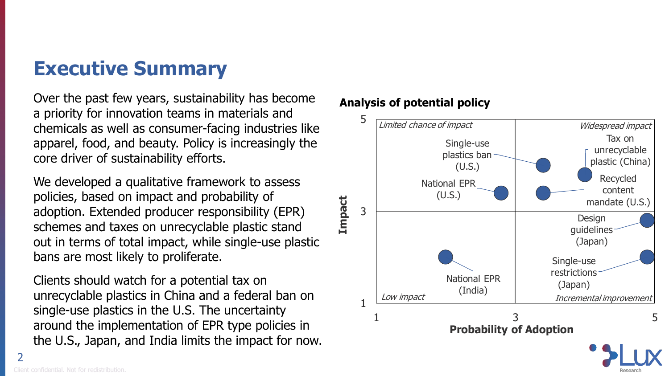# **Executive Summary**

Over the past few years, sustainability has become a priority for innovation teams in materials and chemicals as well as consumer-facing industries like apparel, food, and beauty. Policy is increasingly the core driver of sustainability efforts.

We developed a qualitative framework to assess policies, based on impact and probability of adoption. Extended producer responsibility (EPR) schemes and taxes on unrecyclable plastic stand out in terms of total impact, while single-use plastic bans are most likely to proliferate.

Clients should watch for a potential tax on unrecyclable plastics in China and a federal ban on single-use plastics in the U.S. The uncertainty around the implementation of EPR type policies in the U.S., Japan, and India limits the impact for now.

## **Analysis of potential policy**



2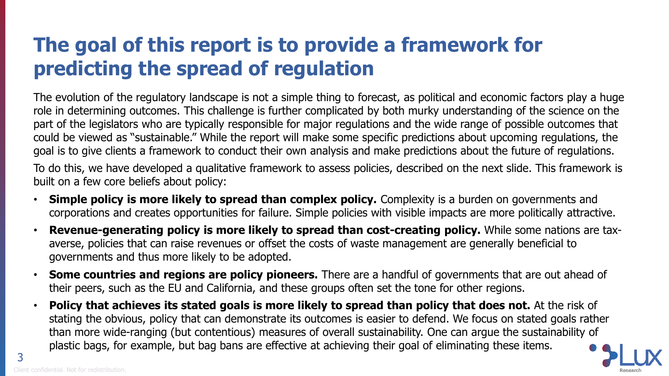# **The goal of this report is to provide a framework for predicting the spread of regulation**

The evolution of the regulatory landscape is not a simple thing to forecast, as political and economic factors play a huge role in determining outcomes. This challenge is further complicated by both murky understanding of the science on the part of the legislators who are typically responsible for major regulations and the wide range of possible outcomes that could be viewed as "sustainable." While the report will make some specific predictions about upcoming regulations, the goal is to give clients a framework to conduct their own analysis and make predictions about the future of regulations.

To do this, we have developed a qualitative framework to assess policies, described on the next slide. This framework is built on a few core beliefs about policy:

- **Simple policy is more likely to spread than complex policy.** Complexity is a burden on governments and corporations and creates opportunities for failure. Simple policies with visible impacts are more politically attractive.
- **Revenue-generating policy is more likely to spread than cost-creating policy.** While some nations are taxaverse, policies that can raise revenues or offset the costs of waste management are generally beneficial to governments and thus more likely to be adopted.
- **Some countries and regions are policy pioneers.** There are a handful of governments that are out ahead of their peers, such as the EU and California, and these groups often set the tone for other regions.
- **Policy that achieves its stated goals is more likely to spread than policy that does not.** At the risk of stating the obvious, policy that can demonstrate its outcomes is easier to defend. We focus on stated goals rather than more wide-ranging (but contentious) measures of overall sustainability. One can argue the sustainability of plastic bags, for example, but bag bans are effective at achieving their goal of eliminating these items.



3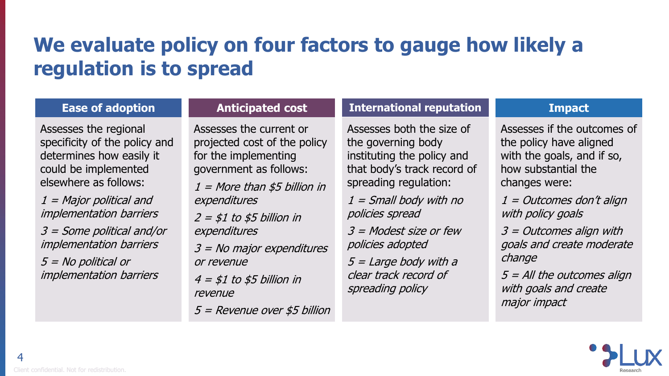# **We evaluate policy on four factors to gauge how likely a regulation is to spread**

### **Ease of adoption**

Assesses the regional specificity of the policy and determines how easily it could be implemented elsewhere as follows:

1 = Major political and implementation barriers 3 = Some political and/or implementation barriers

5 = No political or implementation barriers

## **Anticipated cost**

Assesses the current or projected cost of the policy for the implementing government as follows:

 $1 =$  More than \$5 billion in expenditures

 $2 = $1$  to \$5 billion in expenditures

3 = No major expenditures or revenue

 $4 = $1 to $5$  billion in revenue

5 = Revenue over \$5 billion

### **International reputation**

Assesses both the size of the governing body instituting the policy and that body's track record of spreading regulation:

 $1$  = Small body with no policies spread

3 = Modest size or few policies adopted

 $5 =$  Large body with a clear track record of spreading policy

### **Impact**

Assesses if the outcomes of the policy have aligned with the goals, and if so, how substantial the changes were:

 $1 =$  Outcomes don't align with policy goals

3 = Outcomes align with goals and create moderate change

 $5$  = All the outcomes align with goals and create major impact

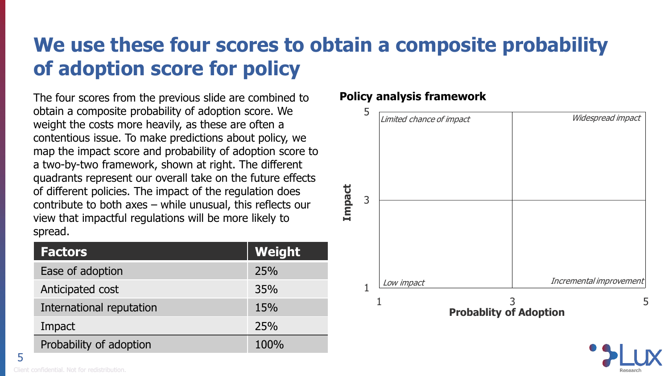# **We use these four scores to obtain a composite probability of adoption score for policy**

The four scores from the previous slide are combined to obtain a composite probability of adoption score. We weight the costs more heavily, as these are often a contentious issue. To make predictions about policy, we map the impact score and probability of adoption score to a two-by-two framework, shown at right. The different quadrants represent our overall take on the future effects of different policies. The impact of the regulation does contribute to both axes – while unusual, this reflects our view that impactful regulations will be more likely to spread.

| <b>Factors</b>           | Weight     |
|--------------------------|------------|
| Ease of adoption         | <b>25%</b> |
| Anticipated cost         | 35%        |
| International reputation | 15%        |
| Impact                   | 25%        |
| Probability of adoption  | 100%       |

### **Policy analysis framework**



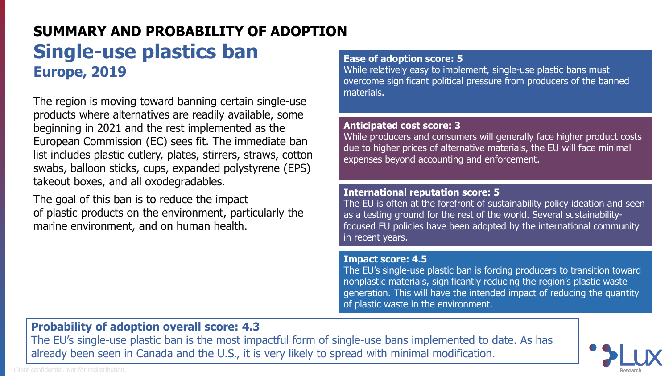# **SUMMARY AND PROBABILITY OF ADOPTION Single-use plastics ban Europe, 2019**

The region is moving toward banning certain single-use products where alternatives are readily available, some beginning in 2021 and the rest implemented as the European Commission (EC) sees fit. The immediate ban list includes plastic cutlery, plates, stirrers, straws, cotton swabs, balloon sticks, cups, expanded polystyrene (EPS) takeout boxes, and all oxodegradables.

The goal of this ban is to reduce the impact of plastic products on the environment, particularly the marine environment, and on human health.

#### **Ease of adoption score: 5**

While relatively easy to implement, single-use plastic bans must overcome significant political pressure from producers of the banned materials.

#### **Anticipated cost score: 3**

While producers and consumers will generally face higher product costs due to higher prices of alternative materials, the EU will face minimal expenses beyond accounting and enforcement.

#### **International reputation score: 5**

The EU is often at the forefront of sustainability policy ideation and seen as a testing ground for the rest of the world. Several sustainabilityfocused EU policies have been adopted by the international community in recent years.

#### **Impact score: 4.5**

The EU's single-use plastic ban is forcing producers to transition toward nonplastic materials, significantly reducing the region's plastic waste generation. This will have the intended impact of reducing the quantity of plastic waste in the environment.

### **Probability of adoption overall score: 4.3**

The EU's single-use plastic ban is the most impactful form of single-use bans implemented to date. As has already been seen in Canada and the U.S., it is very likely to spread with minimal modification.

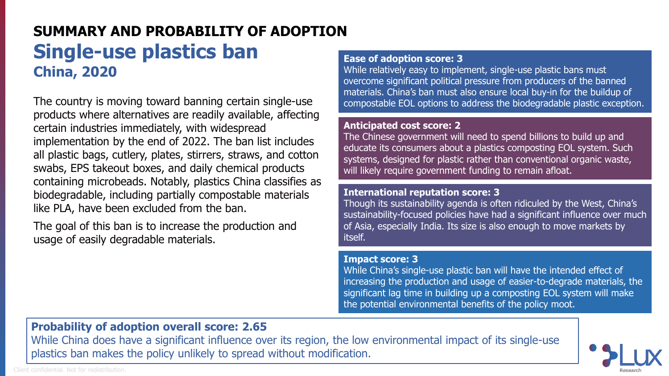# **SUMMARY AND PROBABILITY OF ADOPTION Single-use plastics ban China, 2020**

The country is moving toward banning certain single-use products where alternatives are readily available, affecting certain industries immediately, with widespread implementation by the end of 2022. The ban list includes all plastic bags, cutlery, plates, stirrers, straws, and cotton swabs, EPS takeout boxes, and daily chemical products containing microbeads. Notably, plastics China classifies as biodegradable, including partially compostable materials like PLA, have been excluded from the ban.

The goal of this ban is to increase the production and usage of easily degradable materials.

#### **Ease of adoption score: 3**

While relatively easy to implement, single-use plastic bans must overcome significant political pressure from producers of the banned materials. China's ban must also ensure local buy-in for the buildup of compostable EOL options to address the biodegradable plastic exception.

#### **Anticipated cost score: 2**

The Chinese government will need to spend billions to build up and educate its consumers about a plastics composting EOL system. Such systems, designed for plastic rather than conventional organic waste, will likely require government funding to remain afloat.

#### **International reputation score: 3**

Though its sustainability agenda is often ridiculed by the West, China's sustainability-focused policies have had a significant influence over much of Asia, especially India. Its size is also enough to move markets by itself.

#### **Impact score: 3**

While China's single-use plastic ban will have the intended effect of increasing the production and usage of easier-to-degrade materials, the significant lag time in building up a composting EOL system will make the potential environmental benefits of the policy moot.

### **Probability of adoption overall score: 2.65**

While China does have a significant influence over its region, the low environmental impact of its single-use plastics ban makes the policy unlikely to spread without modification.



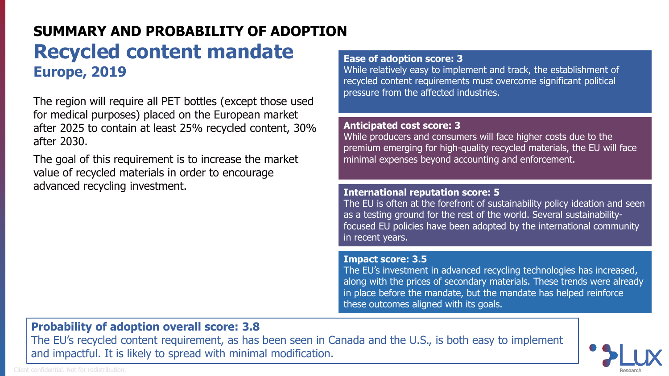# **SUMMARY AND PROBABILITY OF ADOPTION Recycled content mandate Europe, 2019**

The region will require all PET bottles (except those used for medical purposes) placed on the European market after 2025 to contain at least 25% recycled content, 30% after 2030.

The goal of this requirement is to increase the market value of recycled materials in order to encourage advanced recycling investment.

#### **Ease of adoption score: 3**

While relatively easy to implement and track, the establishment of recycled content requirements must overcome significant political pressure from the affected industries.

#### **Anticipated cost score: 3**

While producers and consumers will face higher costs due to the premium emerging for high-quality recycled materials, the EU will face minimal expenses beyond accounting and enforcement.

#### **International reputation score: 5**

The EU is often at the forefront of sustainability policy ideation and seen as a testing ground for the rest of the world. Several sustainabilityfocused EU policies have been adopted by the international community in recent years.

#### **Impact score: 3.5**

The EU's investment in advanced recycling technologies has increased, along with the prices of secondary materials. These trends were already in place before the mandate, but the mandate has helped reinforce these outcomes aligned with its goals.

# **Probability of adoption overall score: 3.8**

The EU's recycled content requirement, as has been seen in Canada and the U.S., is both easy to implement and impactful. It is likely to spread with minimal modification.

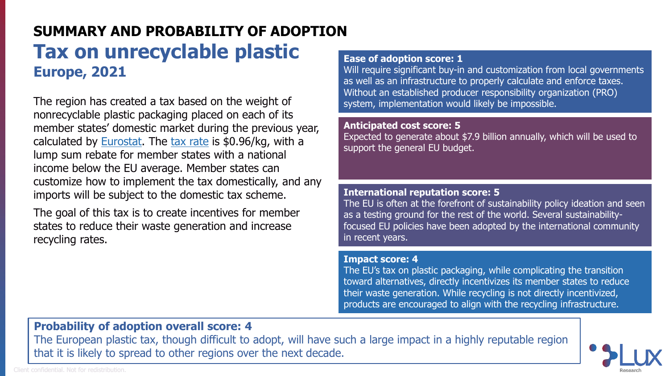# **SUMMARY AND PROBABILITY OF ADOPTION Tax on unrecyclable plastic Europe, 2021**

The region has created a tax based on the weight of nonrecyclable plastic packaging placed on each of its member states' domestic market during the previous year, calculated by **Eurostat**. The [tax rate](https://www.ey.com/en_gl/tax-alerts/belgium-implements-eu-plastics-tax-measures) is \$0.96/kg, with a lump sum rebate for member states with a national income below the EU average. Member states can customize how to implement the tax domestically, and any imports will be subject to the domestic tax scheme.

The goal of this tax is to create incentives for member states to reduce their waste generation and increase recycling rates.

#### **Ease of adoption score: 1**

Will require significant buy-in and customization from local governments as well as an infrastructure to properly calculate and enforce taxes. Without an established producer responsibility organization (PRO) system, implementation would likely be impossible.

#### **Anticipated cost score: 5**

Expected to generate about \$7.9 billion annually, which will be used to support the general EU budget.

#### **International reputation score: 5**

The EU is often at the forefront of sustainability policy ideation and seen as a testing ground for the rest of the world. Several sustainabilityfocused EU policies have been adopted by the international community in recent years.

#### **Impact score: 4**

The EU's tax on plastic packaging, while complicating the transition toward alternatives, directly incentivizes its member states to reduce their waste generation. While recycling is not directly incentivized, products are encouraged to align with the recycling infrastructure.

## **Probability of adoption overall score: 4**

The European plastic tax, though difficult to adopt, will have such a large impact in a highly reputable region that it is likely to spread to other regions over the next decade.



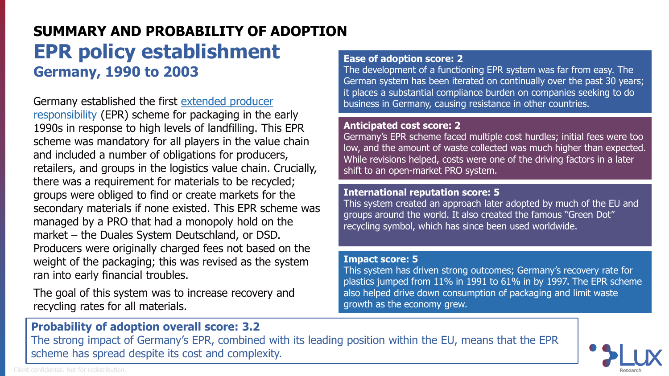# **SUMMARY AND PROBABILITY OF ADOPTION EPR policy establishment Germany, 1990 to 2003**

[Germany established the first extended producer](https://members.luxresearchinc.com/research/insight/40210) responsibility (EPR) scheme for packaging in the early 1990s in response to high levels of landfilling. This EPR scheme was mandatory for all players in the value chain and included a number of obligations for producers, retailers, and groups in the logistics value chain. Crucially, there was a requirement for materials to be recycled; groups were obliged to find or create markets for the secondary materials if none existed. This EPR scheme was managed by a PRO that had a monopoly hold on the market – the Duales System Deutschland, or DSD. Producers were originally charged fees not based on the weight of the packaging; this was revised as the system ran into early financial troubles.

The goal of this system was to increase recovery and recycling rates for all materials.

#### **Ease of adoption score: 2**

The development of a functioning EPR system was far from easy. The German system has been iterated on continually over the past 30 years; it places a substantial compliance burden on companies seeking to do business in Germany, causing resistance in other countries.

#### **Anticipated cost score: 2**

Germany's EPR scheme faced multiple cost hurdles; initial fees were too low, and the amount of waste collected was much higher than expected. While revisions helped, costs were one of the driving factors in a later shift to an open-market PRO system.

#### **International reputation score: 5**

This system created an approach later adopted by much of the EU and groups around the world. It also created the famous "Green Dot" recycling symbol, which has since been used worldwide.

#### **Impact score: 5**

This system has driven strong outcomes; Germany's recovery rate for plastics jumped from 11% in 1991 to 61% in by 1997. The EPR scheme also helped drive down consumption of packaging and limit waste growth as the economy grew.

### **Probability of adoption overall score: 3.2**

The strong impact of Germany's EPR, combined with its leading position within the EU, means that the EPR scheme has spread despite its cost and complexity.



Client confidential. Not for redistribution.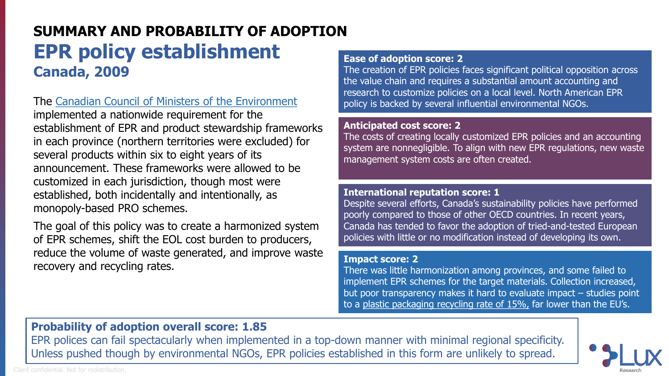# **SUMMARY AND PROBABILITY OF ADOPTION EPR policy establishment Canada, 2009**

The [Canadian Council of Ministers of the Environment](https://ccme.ca/en/res/cap-epr_e.pdf)

implemented a nationwide requirement for the establishment of EPR and product stewardship frameworks in each province (northern territories were excluded) for several products within six to eight years of its announcement. These frameworks were allowed to be customized in each jurisdiction, though most were established, both incidentally and intentionally, as monopoly-based PRO schemes.

The goal of this policy was to create a harmonized system of EPR schemes, shift the EOL cost burden to producers, reduce the volume of waste generated, and improve waste recovery and recycling rates.

#### **Ease of adoption score: 2**

The creation of EPR policies faces significant political opposition across the value chain and requires a substantial amount accounting and research to customize policies on a local level. North American EPR policy is backed by several influential environmental NGOs.

#### **Anticipated cost score: 2**

The costs of creating locally customized EPR policies and an accounting system are nonnegligible. To align with new EPR regulations, new waste management system costs are often created.

#### **International reputation score: 1**

Despite several efforts, Canada's sustainability policies have performed poorly compared to those of other OECD countries. In recent years, Canada has tended to favor the adoption of tried-and-tested European policies with little or no modification instead of developing its own.

#### **Impact score: 2**

There was little harmonization among provinces, and some failed to implement EPR schemes for the target materials. Collection increased, but poor transparency makes it hard to evaluate impact – studies point to a [plastic packaging recycling rate of 15%,](http://publications.gc.ca/collections/collection_2019/eccc/En4-366-1-2019-eng.pdf) far lower than the EU's.

## **Probability of adoption overall score: 1.85**

EPR polices can fail spectacularly when implemented in a top-down manner with minimal regional specificity. Unless pushed though by environmental NGOs, EPR policies established in this form are unlikely to spread.



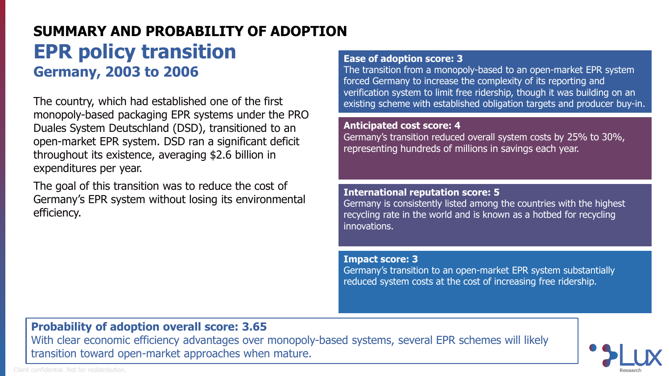# **SUMMARY AND PROBABILITY OF ADOPTION EPR policy transition Germany, 2003 to 2006**

The country, which had established one of the first monopoly-based packaging EPR systems under the PRO Duales System Deutschland (DSD), transitioned to an open-market EPR system. DSD ran a significant deficit throughout its existence, averaging \$2.6 billion in expenditures per year.

The goal of this transition was to reduce the cost of Germany's EPR system without losing its environmental efficiency.

#### **Ease of adoption score: 3**

The transition from a monopoly-based to an open-market EPR system forced Germany to increase the complexity of its reporting and verification system to limit free ridership, though it was building on an existing scheme with established obligation targets and producer buy-in.

#### **Anticipated cost score: 4**

Germany's transition reduced overall system costs by 25% to 30%, representing hundreds of millions in savings each year.

#### **International reputation score: 5**

Germany is consistently listed among the countries with the highest recycling rate in the world and is known as a hotbed for recycling innovations.

**Impact score: 3**

Germany's transition to an open-market EPR system substantially reduced system costs at the cost of increasing free ridership.

## **Probability of adoption overall score: 3.65**

With clear economic efficiency advantages over monopoly-based systems, several EPR schemes will likely transition toward open-market approaches when mature.

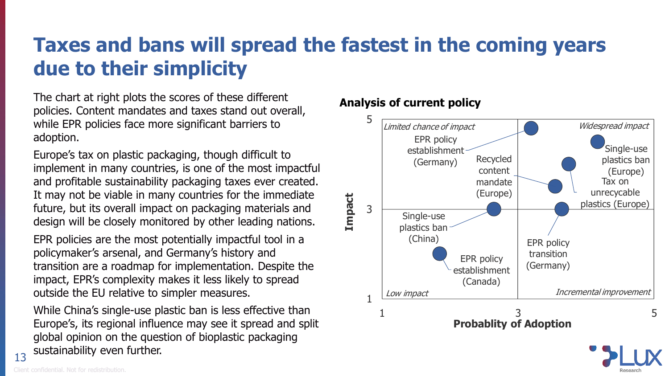# **Taxes and bans will spread the fastest in the coming years due to their simplicity**

The chart at right plots the scores of these different policies. Content mandates and taxes stand out overall, while EPR policies face more significant barriers to adoption.

Europe's tax on plastic packaging, though difficult to implement in many countries, is one of the most impactful and profitable sustainability packaging taxes ever created. It may not be viable in many countries for the immediate future, but its overall impact on packaging materials and design will be closely monitored by other leading nations.

EPR policies are the most potentially impactful tool in a policymaker's arsenal, and Germany's history and transition are a roadmap for implementation. Despite the impact, EPR's complexity makes it less likely to spread outside the EU relative to simpler measures.

While China's single-use plastic ban is less effective than Europe's, its regional influence may see it spread and split global opinion on the question of bioplastic packaging sustainability even further.

## **Analysis of current policy**



13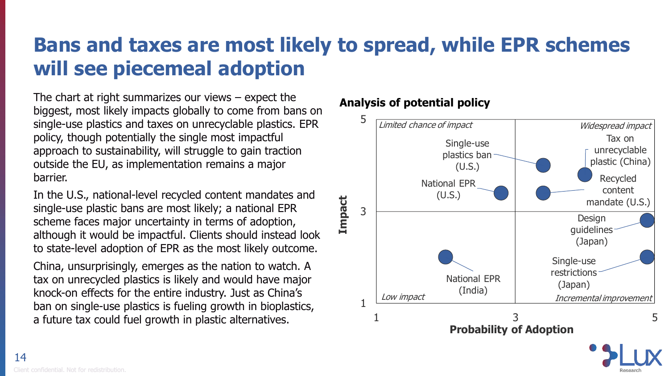# **Bans and taxes are most likely to spread, while EPR schemes will see piecemeal adoption**

The chart at right summarizes our views  $-$  expect the biggest, most likely impacts globally to come from bans on single-use plastics and taxes on unrecyclable plastics. EPR policy, though potentially the single most impactful approach to sustainability, will struggle to gain traction outside the EU, as implementation remains a major barrier.

In the U.S., national-level recycled content mandates and single-use plastic bans are most likely; a national EPR scheme faces major uncertainty in terms of adoption, although it would be impactful. Clients should instead look to state-level adoption of EPR as the most likely outcome.

China, unsurprisingly, emerges as the nation to watch. A tax on unrecycled plastics is likely and would have major knock-on effects for the entire industry. Just as China's ban on single-use plastics is fueling growth in bioplastics, a future tax could fuel growth in plastic alternatives.

# **Analysis of potential policy**

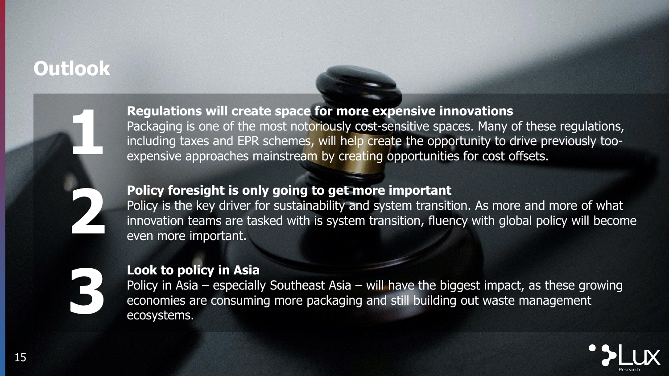# **Outlook**



# **Regulations will create space for more expensive innovations**

Packaging is one of the most notoriously cost-sensitive spaces. Many of these regulations, including taxes and EPR schemes, will help create the opportunity to drive previously tooexpensive approaches mainstream by creating opportunities for cost offsets.

# **Policy foresight is only going to get more important**

Policy is the key driver for sustainability and system transition. As more and more of what innovation teams are tasked with is system transition, fluency with global policy will become even more important.



## **Look to policy in Asia**

Policy in Asia – especially Southeast Asia – will have the biggest impact, as these growing economies are consuming more packaging and still building out waste management ecosystems.